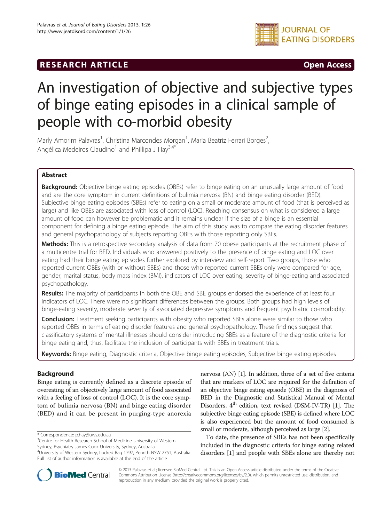# **RESEARCH ARTICLE CONSUMING THE OPEN ACCESS**



# An investigation of objective and subjective types of binge eating episodes in a clinical sample of people with co-morbid obesity

Marly Amorim Palavras<sup>1</sup>, Christina Marcondes Morgan<sup>1</sup>, Maria Beatriz Ferrari Borges<sup>2</sup> , Angélica Medeiros Claudino<sup>1</sup> and Phillipa J Hay<sup>3,4\*</sup>

# Abstract

Background: Objective binge eating episodes (OBEs) refer to binge eating on an unusually large amount of food and are the core symptom in current definitions of bulimia nervosa (BN) and binge eating disorder (BED). Subjective binge eating episodes (SBEs) refer to eating on a small or moderate amount of food (that is perceived as large) and like OBEs are associated with loss of control (LOC). Reaching consensus on what is considered a large amount of food can however be problematic and it remains unclear if the size of a binge is an essential component for defining a binge eating episode. The aim of this study was to compare the eating disorder features and general psychopathology of subjects reporting OBEs with those reporting only SBEs.

Methods: This is a retrospective secondary analysis of data from 70 obese participants at the recruitment phase of a multicentre trial for BED. Individuals who answered positively to the presence of binge eating and LOC over eating had their binge eating episodes further explored by interview and self-report. Two groups, those who reported current OBEs (with or without SBEs) and those who reported current SBEs only were compared for age, gender, marital status, body mass index (BMI), indicators of LOC over eating, severity of binge-eating and associated psychopathology.

Results: The majority of participants in both the OBE and SBE groups endorsed the experience of at least four indicators of LOC. There were no significant differences between the groups. Both groups had high levels of binge-eating severity, moderate severity of associated depressive symptoms and frequent psychiatric co-morbidity.

**Conclusion:** Treatment seeking participants with obesity who reported SBEs alone were similar to those who reported OBEs in terms of eating disorder features and general psychopathology. These findings suggest that classificatory systems of mental illnesses should consider introducing SBEs as a feature of the diagnostic criteria for binge eating and, thus, facilitate the inclusion of participants with SBEs in treatment trials.

Keywords: Binge eating, Diagnostic criteria, Objective binge eating episodes, Subjective binge eating episodes

# Background

Binge eating is currently defined as a discrete episode of overeating of an objectively large amount of food associated with a feeling of loss of control (LOC). It is the core symptom of bulimia nervosa (BN) and binge eating disorder (BED) and it can be present in purging-type anorexia

\* Correspondence: [p.hay@uws.edu.au](mailto:p.hay@uws.edu.au) <sup>3</sup>

<sup>3</sup> Centre for Health Research School of Medicine University of Western Sydney, Psychiatry James Cook University, Sydney, Australia

Full list of author information is available at the end of the article

nervosa (AN) [\[1\]](#page-5-0). In addition, three of a set of five criteria that are markers of LOC are required for the definition of an objective binge eating episode (OBE) in the diagnosis of BED in the Diagnostic and Statistical Manual of Mental Disorders,  $4^{\text{th}}$  edition, text revised (DSM-IV-TR) [\[1\]](#page-5-0). The subjective binge eating episode (SBE) is defined where LOC is also experienced but the amount of food consumed is small or moderate, although perceived as large [\[2](#page-5-0)].

To date, the presence of SBEs has not been specifically included in the diagnostic criteria for binge eating related disorders [[1\]](#page-5-0) and people with SBEs alone are thereby not



© 2013 Palavras et al.; licensee BioMed Central Ltd. This is an Open Access article distributed under the terms of the Creative Commons Attribution License [\(http://creativecommons.org/licenses/by/2.0\)](http://creativecommons.org/licenses/by/2.0), which permits unrestricted use, distribution, and reproduction in any medium, provided the original work is properly cited.

<sup>4</sup> University of Western Sydney, Locked Bag 1797, Penrith NSW 2751, Australia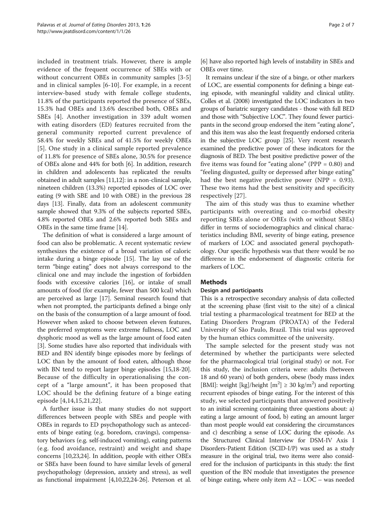included in treatment trials. However, there is ample evidence of the frequent occurrence of SBEs with or without concurrent OBEs in community samples [[3-5](#page-5-0)] and in clinical samples [[6-](#page-5-0)[10](#page-6-0)]. For example, in a recent interview-based study with female college students, 11.8% of the participants reported the presence of SBEs, 15.3% had OBEs and 13.6% described both, OBEs and SBEs [[4\]](#page-5-0). Another investigation in 339 adult women with eating disorders (ED) features recruited from the general community reported current prevalence of 58.4% for weekly SBEs and of 41.5% for weekly OBEs [[5\]](#page-5-0). One study in a clinical sample reported prevalence of 11.8% for presence of SBEs alone, 30.5% for presence of OBEs alone and 44% for both [\[6](#page-5-0)]. In addition, research in children and adolescents has replicated the results obtained in adult samples [\[11,12\]](#page-6-0): in a non-clinical sample, nineteen children (13.3%) reported episodes of LOC over eating (9 with SBE and 10 with OBE) in the previous 28 days [\[13](#page-6-0)]. Finally, data from an adolescent community sample showed that 9.3% of the subjects reported SBEs, 4.8% reported OBEs and 2.6% reported both SBEs and OBEs in the same time frame [[14\]](#page-6-0).

The definition of what is considered a large amount of food can also be problematic. A recent systematic review synthesizes the existence of a broad variation of caloric intake during a binge episode [\[15](#page-6-0)]. The lay use of the term "binge eating" does not always correspond to the clinical one and may include the ingestion of forbidden foods with excessive calories [[16](#page-6-0)], or intake of small amounts of food (for example, fewer than 500 kcal) which are perceived as large [\[17\]](#page-6-0). Seminal research found that when not prompted, the participants defined a binge only on the basis of the consumption of a large amount of food. However when asked to choose between eleven features, the preferred symptoms were extreme fullness, LOC and dysphoric mood as well as the large amount of food eaten [[3\]](#page-5-0). Some studies have also reported that individuals with BED and BN identify binge episodes more by feelings of LOC than by the amount of food eaten, although those with BN tend to report larger binge episodes [[15,18](#page-6-0)-[20](#page-6-0)]. Because of the difficulty in operationalising the concept of a "large amount", it has been proposed that LOC should be the defining feature of a binge eating episode [[4,](#page-5-0)[14](#page-6-0),[15,21](#page-6-0),[22\]](#page-6-0).

A further issue is that many studies do not support differences between people with SBEs and people with OBEs in regards to ED psychopathology such as antecedents of binge eating (e.g. boredom, cravings), compensatory behaviors (e.g. self-induced vomiting), eating patterns (e.g. food avoidance, restraint) and weight and shape concerns [\[10,23,24](#page-6-0)]. In addition, people with either OBEs or SBEs have been found to have similar levels of general psychopathology (depression, anxiety and stress), as well as functional impairment [\[4](#page-5-0)[,10,22,24](#page-6-0)-[26](#page-6-0)]. Peterson et al.

[[6\]](#page-5-0) have also reported high levels of instability in SBEs and OBEs over time.

It remains unclear if the size of a binge, or other markers of LOC, are essential components for defining a binge eating episode, with meaningful validity and clinical utility. Colles et al. (2008) investigated the LOC indicators in two groups of bariatric surgery candidates - those with full BED and those with "Subjective LOC". They found fewer participants in the second group endorsed the item "eating alone", and this item was also the least frequently endorsed criteria in the subjective LOC group [\[25\]](#page-6-0). Very recent research examined the predictive power of these indicators for the diagnosis of BED. The best positive predictive power of the five items was found for "eating alone" (PPP  $= 0.80$ ) and "feeling disgusted, guilty or depressed after binge eating" had the best negative predictive power (NPP =  $0.93$ ). These two items had the best sensitivity and specificity respectively [\[27](#page-6-0)].

The aim of this study was thus to examine whether participants with overeating and co-morbid obesity reporting SBEs alone or OBEs (with or without SBEs) differ in terms of sociodemographics and clinical characteristics including BMI, severity of binge eating, presence of markers of LOC and associated general psychopathology. Our specific hypothesis was that there would be no difference in the endorsement of diagnostic criteria for markers of LOC.

# **Methods**

#### Design and participants

This is a retrospective secondary analysis of data collected at the screening phase (first visit to the site) of a clinical trial testing a pharmacological treatment for BED at the Eating Disorders Program (PROATA) of the Federal University of São Paulo, Brazil. This trial was approved by the human ethics committee of the university.

The sample selected for the present study was not determined by whether the participants were selected for the pharmacological trial (original study) or not. For this study, the inclusion criteria were: adults (between 18 and 60 years) of both genders, obese (body mass index [BMI]: weight [kg]/height  $[m^2] \ge 30$  kg/m<sup>2</sup>) and reporting recurrent episodes of binge eating. For the interest of this study, we selected participants that answered positively to an initial screening containing three questions about: a) eating a large amount of food, b) eating an amount larger than most people would eat considering the circumstances and c) describing a sense of LOC during the episode. As the Structured Clinical Interview for DSM-IV Axis I Disorders-Patient Edition (SCID-I/P) was used as a study measure in the original trial, two items were also considered for the inclusion of participants in this study: the first question of the BN module that investigates the presence of binge eating, where only item A2 – LOC – was needed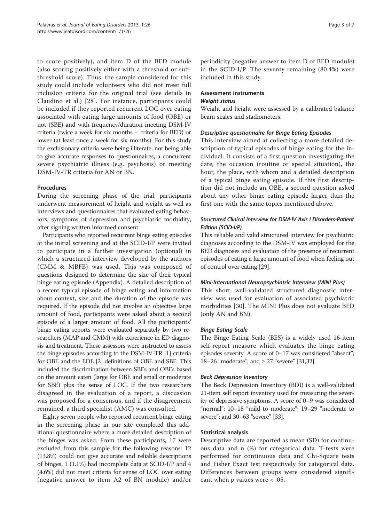to score positively), and item D of the BED module (also scoring positively either with a threshold or subthreshold score). Thus, the sample considered for this study could include volunteers who did not meet full inclusion criteria for the original trial (see details in Claudino et al.) [\[28\]](#page-6-0). For instance, participants could be included if they reported recurrent LOC over eating associated with eating large amounts of food (OBE) or not (SBE) and with frequency/duration meeting DSM-IV criteria (twice a week for six months – criteria for BED) or lower (at least once a week for six months). For this study the exclusionary criteria were being illiterate, not being able to give accurate responses to questionnaires, a concurrent severe psychiatric illness (e.g. psychosis) or meeting DSM-IV-TR criteria for AN or BN.

#### Procedures

During the screening phase of the trial, participants underwent measurement of height and weight as well as interviews and questionnaires that evaluated eating behaviors, symptoms of depression and psychiatric morbidity, after signing written informed consent.

Participants who reported recurrent binge eating episodes at the initial screening and at the SCID-I/P were invited to participate in a further investigation (optional) in which a structured interview developed by the authors (CMM & MBFB) was used. This was composed of questions designed to determine the size of their typical binge eating episode [\(Appendix](#page-5-0)). A detailed description of a recent typical episode of binge eating and information about context, size and the duration of the episode was required. If the episode did not involve an objective large amount of food, participants were asked about a second episode of a larger amount of food. All the participants' binge eating reports were evaluated separately by two researchers (MAP and CMM) with experience in ED diagnosis and treatment. These assessors were instructed to assess the binge episodes according to the DSM-IV-TR [[1](#page-5-0)] criteria for OBE and the EDE [\[2](#page-5-0)] definitions of OBE and SBE. This included the discrimination between SBEs and OBEs based on the amount eaten (large for OBE and small or moderate for SBE) plus the sense of LOC. If the two researchers disagreed in the evaluation of a report, a discussion was proposed for a consensus, and if the disagreement remained, a third specialist (AMC) was consulted.

Eighty seven people who reported recurrent binge eating in the screening phase in our site completed this additional questionnaire where a more detailed description of the binges was asked. From these participants, 17 were excluded from this sample for the following reasons: 12 (13.8%) could not give accurate and reliable descriptions of binges, 1 (1.1%) had incomplete data at SCID-I/P and 4 (4.6%) did not meet criteria for sense of LOC over eating (negative answer to item A2 of BN module) and/or

periodicity (negative answer to item D of BED module) in the SCID-I/P. The seventy remaining (80.4%) were included in this study.

#### Assessment instruments Weight status

Weight and height were assessed by a calibrated balance beam scales and stadiometers.

# Descriptive questionnaire for Binge Eating Episodes

This interview aimed at collecting a more detailed description of typical episodes of binge eating for the individual. It consists of a first question investigating the date, the occasion (routine or special situation), the hour, the place, with whom and a detailed description of a typical binge eating episode. If this first description did not include an OBE, a second question asked about any other binge eating episode larger than the first one with the same topics mentioned above.

# Structured Clinical Interview for DSM-IV Axis I Disorders-Patient Edition (SCID-I/P)

This reliable and valid structured interview for psychiatric diagnoses according to the DSM-IV was employed for the BED diagnoses and evaluation of the presence of recurrent episodes of eating a large amount of food when feeling out of control over eating [\[29](#page-6-0)].

# Mini-International Neuropsychiatric Interview (MINI Plus)

This short, well-validated structured diagnostic interview was used for evaluation of associated psychiatric morbidities [\[30](#page-6-0)]. The MINI Plus does not evaluate BED (only AN and BN).

# Binge Eating Scale

The Binge Eating Scale (BES) is a widely used 16-item self-report measure which evaluates the binge eating episodes severity. A score of 0–17 was considered "absent"; 18–26 "moderate"; and ≥ 27 "severe" [\[31,32\]](#page-6-0).

# Beck Depression Inventory

The Beck Depression Inventory (BDI) is a well-validated 21-item self report inventory used for measuring the severity of depressive symptoms. A score of 0–9 was considered "normal"; 10–18 "mild to moderate"; 19–29 "moderate to severe"; and 30–63 "severe" [[33](#page-6-0)].

#### Statistical analysis

Descriptive data are reported as mean (SD) for continuous data and n (%) for categorical data. T-tests were performed for continuous data and Chi-Square tests and Fisher Exact test respectively for categorical data. Differences between groups were considered significant when p values were < .05.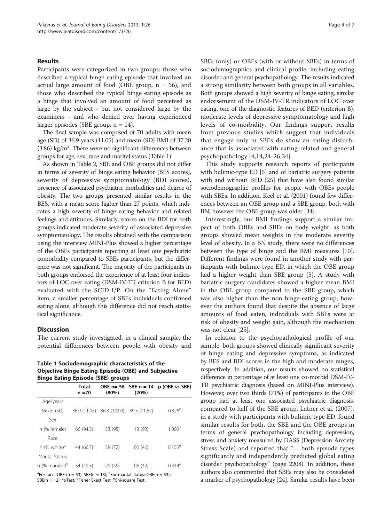#### Results

Participants were categorized in two groups: those who described a typical binge eating episode that involved an actual large amount of food (OBE group,  $n = 56$ ), and those who described the typical binge eating episode as a binge that involved an amount of food perceived as large by the subject - but not considered large by the examiners - and who denied ever having experienced larger episodes (SBE group, n = 14).

The final sample was composed of 70 adults with mean age (SD) of 36.9 years (11.05) and mean (SD) BMI of 37.20  $(3.86)$  kg/m<sup>2</sup>. There were no significant differences between groups for age, sex, race and marital status (Table 1).

As shown in Table [2](#page-4-0), SBE and OBE groups did not differ in terms of severity of binge eating behavior (BES scores), severity of depressive symptomatology (BDI scores), presence of associated psychiatric morbidities and degree of obesity. The two groups presented similar results in the BES, with a mean score higher than 27 points, which indicates a high severity of binge eating behavior and related feelings and attitudes. Similarly, scores on the BDI for both groups indicated moderate severity of associated depressive symptomatology. The results obtained with the comparison using the interview MINI-Plus showed a higher percentage of the OBEs participants reporting at least one psychiatric comorbidity compared to SBEs participants, but the difference was not significant. The majority of the participants in both groups endorsed the experience of at least four indicators of LOC over eating (DSM-IV-TR criterion B for BED) evaluated with the SCID-I/P. On the "Eating Alone" item, a smaller percentage of SBEs individuals confirmed eating alone, although this difference did not reach statistical significance.

#### **Discussion**

The current study investigated, in a clinical sample, the potential differences between people with obesity and

Table 1 Sociodemographic characteristics of the Objective Binge Eating Episode (OBE) and Subjective Binge Eating Episode (SBE) groups

|                            | <b>Total</b><br>n =70 | (80%)                     | OBE $n = 56$ SBE $n = 14$<br>(20%) | p (OBE vs SBE)     |
|----------------------------|-----------------------|---------------------------|------------------------------------|--------------------|
| Age/years                  |                       |                           |                                    |                    |
| Mean (SD)                  |                       | 36.9 (11.05) 36.3 (10.90) | 39.5 (11.67)                       | 0.326 <sup>c</sup> |
| Sex                        |                       |                           |                                    |                    |
| n (% female)               | 66 (94.3)             | 53 (95)                   | 13 (93)                            | 1.000 <sup>d</sup> |
| Race                       |                       |                           |                                    |                    |
| n (% white) $a^d$          | 44 (66.7)             | 38 (72)                   | 06(46)                             | 0.105 <sup>d</sup> |
| Marital Status             |                       |                           |                                    |                    |
| n (% married) <sup>b</sup> | 34 (49.3)             | 29 (55)                   | 05(42)                             | $0.414^e$          |

<sup>a</sup>For race: OBE (n = 53); SBE(n = 13); <sup>b</sup>For marital status: OBE(n = 53); SBE(n = 12); <sup>c</sup>t-Test; <sup>d</sup>Fisher Exact Test; <sup>e</sup>Chi-square Test.

SBEs (only) or OBEs (with or without SBEs) in terms of sociodemographics and clinical profile, including eating disorder and general psychopathology. The results indicated a strong similarity between both groups in all variables. Both groups showed a high severity of binge eating, similar endorsement of the DSM-IV-TR indicators of LOC over eating, one of the diagnostic features of BED (criterion B), moderate levels of depressive symptomatology and high levels of co-morbidity. Our findings support results from previous studies which suggest that individuals that engage only in SBEs do show an eating disturbance that is associated with eating-related and general psychopathology [[4,](#page-5-0)[14](#page-6-0),[24-26,34](#page-6-0)].

This study supports research reports of participants with bulimic-type ED [[5\]](#page-5-0) and of bariatric surgery patients with and without BED [[25](#page-6-0)] that have also found similar sociodemographic profiles for people with OBEs people with SBEs. In addition, Keel et al. (2001) found few differences between an OBE group and a SBE group, both with BN; however the OBE group was older [[34](#page-6-0)].

Interestingly, our BMI findings support a similar impact of both OBEs and SBEs on body weight, as both groups showed mean weights in the moderate severity level of obesity. In a BN study, there were no differences between the type of binge and the BMI measures [\[10](#page-6-0)]. Different findings were found in another study with participants with bulimic-type ED, in which the OBE group had a higher weight than SBE group [[5\]](#page-5-0). A study with bariatric surgery candidates showed a higher mean BMI in the OBE group compared to the SBE group, which was also higher than the non binge-eating group; however the authors found that despite the absence of large amounts of food eaten, individuals with SBEs were at risk of obesity and weight gain, although the mechanism was not clear [[25\]](#page-6-0).

In relation to the psychopathological profile of our sample, both groups showed clinically significant severity of binge eating and depressive symptoms, as indicated by BES and BDI scores in the high and moderate ranges, respectively. In addition, our results showed no statistical difference in percentage of at least one co-morbid DSM-IV-TR psychiatric diagnosis (based on MINI-Plus interview). However, over two thirds (71%) of participants in the OBE group had at least one associated psychiatric diagnosis, compared to half of the SBE group. Latner et al. (2007), in a study with participants with bulimic type ED, found similar results for both, the SBE and the OBE groups in terms of general psychopathology including depression, stress and anxiety measured by DASS (Depression Anxiety Stress Scale) and reported that "… both episode types significantly and independently predicted global eating disorder psychopathology" (page 2208). In addition, these authors also commented that SBEs may also be considered a marker of psychopathology [\[24](#page-6-0)]. Similar results have been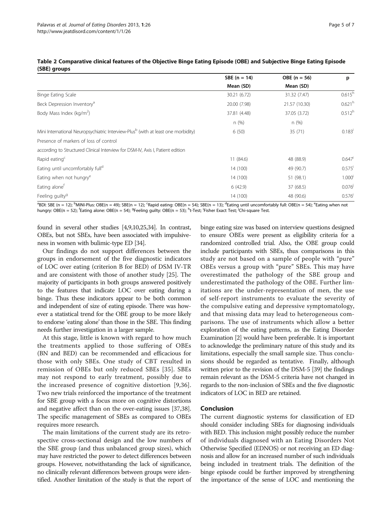|                                                                                               | SBE $(n = 14)$<br>Mean (SD) | $OBE (n = 56)$<br>Mean (SD) | p                    |
|-----------------------------------------------------------------------------------------------|-----------------------------|-----------------------------|----------------------|
|                                                                                               |                             |                             |                      |
| Binge Eating Scale                                                                            | 30.21 (6.72)                | 31.32 (7.47)                | $0.615^{h}$          |
| Beck Depression Inventory <sup>a</sup>                                                        | 20.00 (7.98)                | 21.57 (10.30)               | 0.621 <sup>h</sup>   |
| Body Mass Index (kg/m <sup>2</sup> )                                                          | 37.81 (4.48)                | 37.05 (3.72)                | $0.512^{h}$          |
|                                                                                               | n(%)                        | n(%)                        |                      |
| Mini International Neuropsychiatric Interview-Plus <sup>b</sup> (with at least one morbidity) | 6(50)                       | 35(71)                      | $0.183$ <sup>i</sup> |
| Presence of markers of loss of control                                                        |                             |                             |                      |
| according to Structured Clinical Interview for DSM-IV, Axis I, Patient edition                |                             |                             |                      |
| Rapid eating <sup>c</sup>                                                                     | 11 (84.6)                   | 48 (88.9)                   | $0.647$ <sup>i</sup> |
| Eating until uncomfortably full <sup>d</sup>                                                  | 14 (100)                    | 49 (90.7)                   | $0.575$ <sup>i</sup> |
| Eating when not hungry <sup>e</sup>                                                           | 14 (100)                    | 51 (98.1)                   | 1.000 <sup>i</sup>   |
| Eating alone <sup>t</sup>                                                                     | 6(42.9)                     | 37 (68.5)                   | 0.076                |
| Feeling guilty <sup>9</sup>                                                                   | 14 (100)                    | 48 (90.6)                   | 0.576                |
|                                                                                               |                             |                             |                      |

<span id="page-4-0"></span>

|              | Table 2 Comparative clinical features of the Objective Binge Eating Episode (OBE) and Subjective Binge Eating Episode |  |  |
|--------------|-----------------------------------------------------------------------------------------------------------------------|--|--|
| (SBE) groups |                                                                                                                       |  |  |

<sup>a</sup>BDI: SBE (n = 12); <sup>b</sup>MINI-Plus: OBE(n = 49); SBE(n = 12); ʿRapid eating: OBE(n = 54); SBE(n = 13); <sup>d</sup>Eating until uncomfortably full: OBE(n = 54); <sup>e</sup>Eating when not hungry: OBE(n = 52); <sup>f</sup>Eating alone: OBE(n = 54); <sup>g</sup>Feeling guilty: OBE(n = 53); <sup>h</sup>t-Test; <sup>i</sup>Fisher Exact Test; <sup>j</sup>Chi-square Test.

found in several other studies [\[4,9,](#page-5-0)[10,25,34\]](#page-6-0). In contrast, OBEs, but not SBEs, have been associated with impulsiveness in women with bulimic-type ED [\[34\]](#page-6-0).

Our findings do not support differences between the groups in endorsement of the five diagnostic indicators of LOC over eating (criterion B for BED) of DSM IV-TR and are consistent with those of another study [[25\]](#page-6-0). The majority of participants in both groups answered positively to the features that indicate LOC over eating during a binge. Thus these indicators appear to be both common and independent of size of eating episode. There was however a statistical trend for the OBE group to be more likely to endorse 'eating alone' than those in the SBE. This finding needs further investigation in a larger sample.

At this stage, little is known with regard to how much the treatments applied to those suffering of OBEs (BN and BED) can be recommended and efficacious for those with only SBEs. One study of CBT resulted in remission of OBEs but only reduced SBEs [[35\]](#page-6-0). SBEs may not respond to early treatment, possibly due to the increased presence of cognitive distortion [\[9,](#page-5-0)[36](#page-6-0)]. Two new trials reinforced the importance of the treatment for SBE group with a focus more on cognitive distortions and negative affect than on the over-eating issues [\[37,38](#page-6-0)]. The specific management of SBEs as compared to OBEs requires more research.

The main limitations of the current study are its retrospective cross-sectional design and the low numbers of the SBE group (and thus unbalanced group sizes), which may have restricted the power to detect differences between groups. However, notwithstanding the lack of significance, no clinically relevant differences between groups were identified. Another limitation of the study is that the report of

binge eating size was based on interview questions designed to ensure OBEs were present as eligibility criteria for a randomized controlled trial. Also, the OBE group could include participants with SBEs, thus comparisons in this study are not based on a sample of people with "pure" OBEs versus a group with "pure" SBEs. This may have overestimated the pathology of the SBE group and underestimated the pathology of the OBE. Further limitations are the under-representation of men, the use of self-report instruments to evaluate the severity of the compulsive eating and depressive symptomatology, and that missing data may lead to heterogeneous comparisons. The use of instruments which allow a better exploration of the eating patterns, as the Eating Disorder Examination [[2\]](#page-5-0) would have been preferable. It is important to acknowledge the preliminary nature of this study and its limitations, especially the small sample size. Thus conclusions should be regarded as tentative. Finally, although written prior to the revision of the DSM-5 [\[39](#page-6-0)] the findings remain relevant as the DSM-5 criteria have not changed in regards to the non-inclusion of SBEs and the five diagnostic indicators of LOC in BED are retained.

# Conclusion

The current diagnostic systems for classification of ED should consider including SBEs for diagnosing individuals with BED. This inclusion might possibly reduce the number of individuals diagnosed with an Eating Disorders Not Otherwise Specified (EDNOS) or not receiving an ED diagnosis and allow for an increased number of such individuals being included in treatment trials. The definition of the binge episode could be further improved by strengthening the importance of the sense of LOC and mentioning the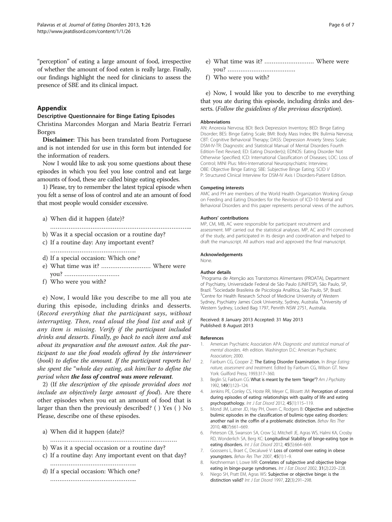<span id="page-5-0"></span>"perception" of eating a large amount of food, irrespective of whether the amount of food eaten is really large. Finally, our findings highlight the need for clinicians to assess the presence of SBE and its clinical impact.

# Appendix

#### Descriptive Questionnaire for Binge Eating Episodes

Christina Marcondes Morgan and Maria Beatriz Ferrari Borges

Disclaimer: This has been translated from Portuguese and is not intended for use in this form but intended for the information of readers.

Now I would like to ask you some questions about these episodes in which you feel you lose control and eat large amounts of food, these are called binge eating episodes.

1) Please, try to remember the latest typical episode when you felt a sense of loss of control and ate an amount of food that most people would consider excessive.

- a) When did it happen (date)?
- …………………………………………………………………..
- b) Was it a special occasion or a routine day?
- c) If a routine day: Any important event?
- ……………………………………………… d) If a special occasion: Which one?
- 
- e) What time was it? ……………………… Where were you? …………………………
- f) Who were you with?

e) Now, I would like you describe to me all you ate during this episode, including drinks and desserts. (Record everything that the participant says, without interrupting. Then, read aloud the food list and ask if any item is missing. Verify if the participant included drinks and desserts. Finally, go back to each item and ask about its preparation and the amount eaten. Ask the participant to use the food models offered by the interviewer (book) to define the amount. If the participant reports he/ she spent the "whole day eating, ask him/her to define the period when the loss of control was more relevant.

2) (If the description of the episode provided does not include an objectively large amount of food). Are there other episodes when you eat an amount of food that is larger than then the previously described? ( ) Yes ( ) No Please, describe one of these episodes.

- a) When did it happen (date)?
- ……………………………………………………………
- b) Was it a special occasion or a routine day?
- c) If a routine day: Any important event on that day? ………………………………………..
- d) If a special occasion: Which one? ………………………………………..

- e) What time was it? ……………………… Where were you? ……………………………….
- f) Who were you with?

e) Now, I would like you to describe to me everything that you ate during this episode, including drinks and desserts. (Follow the guidelines of the previous description).

#### Abbreviations

AN: Anorexia Nervosa; BDI: Beck Depression Inventory; BED: Binge Eating Disorder; BES: Binge Eating Scale; BMI: Body Mass Index; BN: Bulimia Nervosa; CBT: Cognitive Behavioral Therapy; DASS: Depression Anxiety Stress Scale; DSM-IV-TR: Diagnostic and Statistical Manual of Mental Disorders Fourth Edition-Text Revised; ED: Eating Disorder(s); EDNOS: Eating Disorder Not Otherwise Specified; ICD: International Classification of Diseases; LOC: Loss of Control; MINI Plus: Mini-International Neuropsychiatric Interview; OBE: Objective Binge Eating; SBE: Subjective Binge Eating; SCID I/ P: Structured Clinical Interview for DSM-IV Axis I Disorders-Patient Edition.

#### Competing interests

AMC and PH are members of the World Health Organization Working Group on Feeding and Eating Disorders for the Revision of ICD-10 Mental and Behavioral Disorders and this paper represents personal views of the authors.

#### Authors' contributions

MP, CM, MB, AC were responsible for participant recruitment and assessment. MP carried out the statistical analyses. MP, AC and PH conceived of the study, and participated in its design and coordination and helped to draft the manuscript. All authors read and approved the final manuscript.

#### Acknowledgements

None.

#### Author details

1 Programa de Atenção aos Transtornos Alimentares (PROATA), Department of Psychiatry, Universidade Federal de São Paulo (UNIFESP), São Paulo, SP, Brazil. <sup>2</sup> Sociedade Brasileira de Psicologia Analítica, São Paulo, SP, Brazil.<br><sup>3</sup> Contre for Hoalth Besearch School of Medicine University of Western. <sup>3</sup> Centre for Health Research School of Medicine University of Western Sydney, Psychiatry James Cook University, Sydney, Australia. <sup>4</sup>University of Western Sydney, Locked Bag 1797, Penrith NSW 2751, Australia.

Received: 8 January 2013 Accepted: 31 May 2013 Published: 8 August 2013

#### References

- 1. American Psychiatric Association APA: Diagnostic and statistical manual of mental disorders. 4th edition. Washington D.C: American Psychiatric Association; 2000.
- 2. Fairburn CG, Cooper Z: The Eating Disorder Examination. In Binge Eating: nature, assessment and treatment. Edited by Fairburn CG, Wilson GT. New York: Guilford Press; 1993:317–360.
- 3. Beglin SJ, Fairburn CG: What is meant by the term "binge"? Am J Psychiatry 1992, 149(1):123–124.
- 4. Jenkins PE, Conley CS, Hoste RR, Meyer C, Blissett JM: Perception of control during episodes of eating: relationships with quality of life and eating psychopathology. Int J Eat Disord 2012, 45(1):115–119.
- 5. Mond JM, Latner JD, Hay PH, Owen C, Rodgers B: Objective and subjective bulimic episodes in the classification of bulimic-type eating disorders: another nail in the coffin of a problematic distinction. Behav Res Ther 2010, 48(7):661–669.
- 6. Peterson CB, Swanson SA, Crow SJ, Mitchell JE, Agras WS, Halmi KA, Crosby RD, Wonderlich SA, Berg KC: Longitudinal Stability of binge-eating type in eating disorders. Int J Eat Disord 2012, 45(5):664-669.
- 7. Goossens L, Braet C, Decaluwé V: Loss of control over eating in obese youngsters. Behav Res Ther 2007, 45(1):1-9.
- 8. Kerzhnerman I, Lowe MR: Correlates of subjective and objective binge eating in binge-purge syndromes. Int J Eat Disord 2002, 31(2):220-228.
- 9. Niego SH, Pratt EM, Agras WS: Subjective or objective binge: is the distinction valid? Int J Eat Disord 1997, 22(3):291-298.